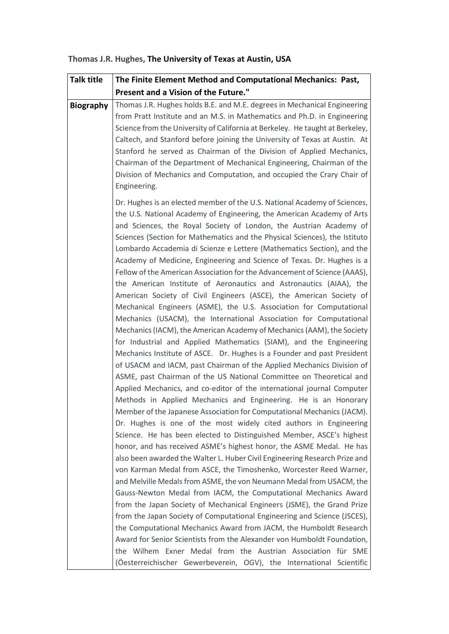| <b>Talk title</b> | The Finite Element Method and Computational Mechanics: Past,                                                                                                                                                                                                                                                                                                                                                                                                                                                                                                                                                                                                                                                                                                                                                                                                                                                                                                                                                                                                                                                                                                                                                                                                                                                                                                                                                                                                                                                                                                                                                                                                                                                                                                                                                                                                                                                                                                                                                                                                                                                                                                                                                                                                    |
|-------------------|-----------------------------------------------------------------------------------------------------------------------------------------------------------------------------------------------------------------------------------------------------------------------------------------------------------------------------------------------------------------------------------------------------------------------------------------------------------------------------------------------------------------------------------------------------------------------------------------------------------------------------------------------------------------------------------------------------------------------------------------------------------------------------------------------------------------------------------------------------------------------------------------------------------------------------------------------------------------------------------------------------------------------------------------------------------------------------------------------------------------------------------------------------------------------------------------------------------------------------------------------------------------------------------------------------------------------------------------------------------------------------------------------------------------------------------------------------------------------------------------------------------------------------------------------------------------------------------------------------------------------------------------------------------------------------------------------------------------------------------------------------------------------------------------------------------------------------------------------------------------------------------------------------------------------------------------------------------------------------------------------------------------------------------------------------------------------------------------------------------------------------------------------------------------------------------------------------------------------------------------------------------------|
|                   | Present and a Vision of the Future."                                                                                                                                                                                                                                                                                                                                                                                                                                                                                                                                                                                                                                                                                                                                                                                                                                                                                                                                                                                                                                                                                                                                                                                                                                                                                                                                                                                                                                                                                                                                                                                                                                                                                                                                                                                                                                                                                                                                                                                                                                                                                                                                                                                                                            |
| <b>Biography</b>  | Thomas J.R. Hughes holds B.E. and M.E. degrees in Mechanical Engineering<br>from Pratt Institute and an M.S. in Mathematics and Ph.D. in Engineering<br>Science from the University of California at Berkeley. He taught at Berkeley,<br>Caltech, and Stanford before joining the University of Texas at Austin. At<br>Stanford he served as Chairman of the Division of Applied Mechanics,<br>Chairman of the Department of Mechanical Engineering, Chairman of the<br>Division of Mechanics and Computation, and occupied the Crary Chair of<br>Engineering.                                                                                                                                                                                                                                                                                                                                                                                                                                                                                                                                                                                                                                                                                                                                                                                                                                                                                                                                                                                                                                                                                                                                                                                                                                                                                                                                                                                                                                                                                                                                                                                                                                                                                                  |
|                   | Dr. Hughes is an elected member of the U.S. National Academy of Sciences,<br>the U.S. National Academy of Engineering, the American Academy of Arts<br>and Sciences, the Royal Society of London, the Austrian Academy of<br>Sciences (Section for Mathematics and the Physical Sciences), the Istituto<br>Lombardo Accademia di Scienze e Lettere (Mathematics Section), and the<br>Academy of Medicine, Engineering and Science of Texas. Dr. Hughes is a<br>Fellow of the American Association for the Advancement of Science (AAAS),<br>the American Institute of Aeronautics and Astronautics (AIAA), the<br>American Society of Civil Engineers (ASCE), the American Society of<br>Mechanical Engineers (ASME), the U.S. Association for Computational<br>Mechanics (USACM), the International Association for Computational<br>Mechanics (IACM), the American Academy of Mechanics (AAM), the Society<br>for Industrial and Applied Mathematics (SIAM), and the Engineering<br>Mechanics Institute of ASCE. Dr. Hughes is a Founder and past President<br>of USACM and IACM, past Chairman of the Applied Mechanics Division of<br>ASME, past Chairman of the US National Committee on Theoretical and<br>Applied Mechanics, and co-editor of the international journal Computer<br>Methods in Applied Mechanics and Engineering. He is an Honorary<br>Member of the Japanese Association for Computational Mechanics (JACM).<br>Dr. Hughes is one of the most widely cited authors in Engineering<br>Science. He has been elected to Distinguished Member, ASCE's highest<br>honor, and has received ASME's highest honor, the ASME Medal. He has<br>also been awarded the Walter L. Huber Civil Engineering Research Prize and<br>von Karman Medal from ASCE, the Timoshenko, Worcester Reed Warner,<br>and Melville Medals from ASME, the von Neumann Medal from USACM, the<br>Gauss-Newton Medal from IACM, the Computational Mechanics Award<br>from the Japan Society of Mechanical Engineers (JSME), the Grand Prize<br>from the Japan Society of Computational Engineering and Science (JSCES),<br>the Computational Mechanics Award from JACM, the Humboldt Research<br>Award for Senior Scientists from the Alexander von Humboldt Foundation, |
|                   | the Wilhem Exner Medal from the Austrian Association für SME<br>(Öesterreichischer Gewerbeverein, OGV), the International Scientific                                                                                                                                                                                                                                                                                                                                                                                                                                                                                                                                                                                                                                                                                                                                                                                                                                                                                                                                                                                                                                                                                                                                                                                                                                                                                                                                                                                                                                                                                                                                                                                                                                                                                                                                                                                                                                                                                                                                                                                                                                                                                                                            |

## **Thomas J.R. Hughes, The University of Texas at Austin, USA**